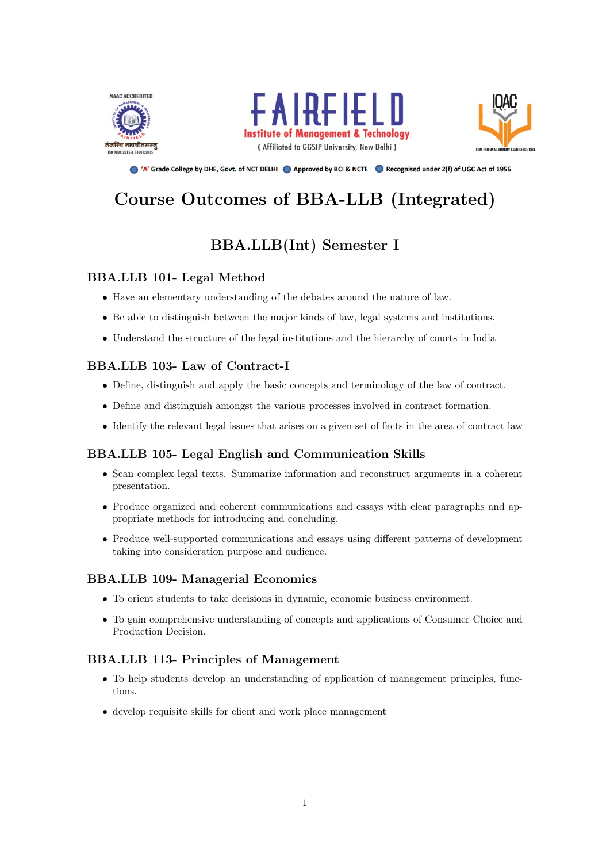





● 'A' Grade College by DHE, Govt. of NCT DELHI ● Approved by BCI & NCTE ● Recognised under 2(f) of UGC Act of 1956

# Course Outcomes of BBA-LLB (Integrated)

# BBA.LLB(Int) Semester I

# BBA.LLB 101- Legal Method

- Have an elementary understanding of the debates around the nature of law.
- Be able to distinguish between the major kinds of law, legal systems and institutions.
- Understand the structure of the legal institutions and the hierarchy of courts in India

# BBA.LLB 103- Law of Contract-I

- Define, distinguish and apply the basic concepts and terminology of the law of contract.
- Define and distinguish amongst the various processes involved in contract formation.
- Identify the relevant legal issues that arises on a given set of facts in the area of contract law

# BBA.LLB 105- Legal English and Communication Skills

- Scan complex legal texts. Summarize information and reconstruct arguments in a coherent presentation.
- Produce organized and coherent communications and essays with clear paragraphs and appropriate methods for introducing and concluding.
- Produce well-supported communications and essays using different patterns of development taking into consideration purpose and audience.

# BBA.LLB 109- Managerial Economics

- To orient students to take decisions in dynamic, economic business environment.
- To gain comprehensive understanding of concepts and applications of Consumer Choice and Production Decision.

# BBA.LLB 113- Principles of Management

- To help students develop an understanding of application of management principles, functions.
- develop requisite skills for client and work place management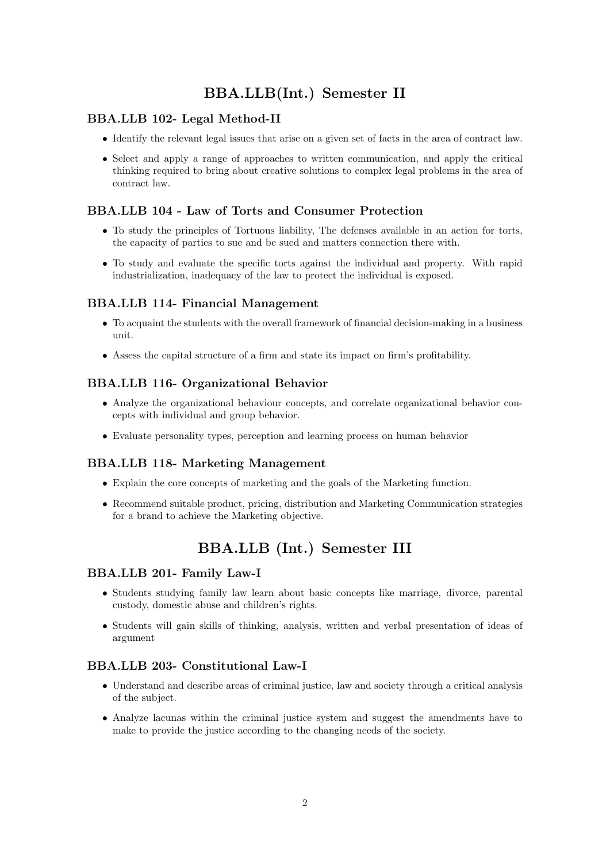# BBA.LLB(Int.) Semester II

# BBA.LLB 102- Legal Method-II

- Identify the relevant legal issues that arise on a given set of facts in the area of contract law.
- Select and apply a range of approaches to written communication, and apply the critical thinking required to bring about creative solutions to complex legal problems in the area of contract law.

# BBA.LLB 104 - Law of Torts and Consumer Protection

- To study the principles of Tortuous liability, The defenses available in an action for torts, the capacity of parties to sue and be sued and matters connection there with.
- To study and evaluate the specific torts against the individual and property. With rapid industrialization, inadequacy of the law to protect the individual is exposed.

### BBA.LLB 114- Financial Management

- To acquaint the students with the overall framework of financial decision-making in a business unit.
- Assess the capital structure of a firm and state its impact on firm's profitability.

### BBA.LLB 116- Organizational Behavior

- Analyze the organizational behaviour concepts, and correlate organizational behavior concepts with individual and group behavior.
- Evaluate personality types, perception and learning process on human behavior

### BBA.LLB 118- Marketing Management

- Explain the core concepts of marketing and the goals of the Marketing function.
- Recommend suitable product, pricing, distribution and Marketing Communication strategies for a brand to achieve the Marketing objective.

# BBA.LLB (Int.) Semester III

### BBA.LLB 201- Family Law-I

- Students studying family law learn about basic concepts like marriage, divorce, parental custody, domestic abuse and children's rights.
- Students will gain skills of thinking, analysis, written and verbal presentation of ideas of argument

### BBA.LLB 203- Constitutional Law-I

- Understand and describe areas of criminal justice, law and society through a critical analysis of the subject.
- Analyze lacunas within the criminal justice system and suggest the amendments have to make to provide the justice according to the changing needs of the society.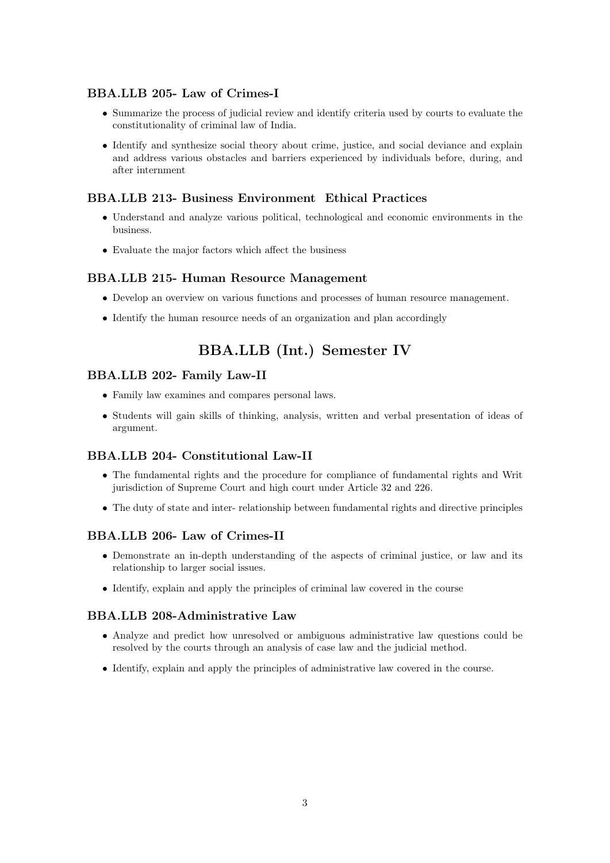# BBA.LLB 205- Law of Crimes-I

- Summarize the process of judicial review and identify criteria used by courts to evaluate the constitutionality of criminal law of India.
- Identify and synthesize social theory about crime, justice, and social deviance and explain and address various obstacles and barriers experienced by individuals before, during, and after internment

### BBA.LLB 213- Business Environment Ethical Practices

- Understand and analyze various political, technological and economic environments in the business.
- Evaluate the major factors which affect the business

#### BBA.LLB 215- Human Resource Management

- Develop an overview on various functions and processes of human resource management.
- Identify the human resource needs of an organization and plan accordingly

# BBA.LLB (Int.) Semester IV

### BBA.LLB 202- Family Law-II

- Family law examines and compares personal laws.
- Students will gain skills of thinking, analysis, written and verbal presentation of ideas of argument.

### BBA.LLB 204- Constitutional Law-II

- The fundamental rights and the procedure for compliance of fundamental rights and Writ jurisdiction of Supreme Court and high court under Article 32 and 226.
- The duty of state and inter- relationship between fundamental rights and directive principles

# BBA.LLB 206- Law of Crimes-II

- Demonstrate an in-depth understanding of the aspects of criminal justice, or law and its relationship to larger social issues.
- Identify, explain and apply the principles of criminal law covered in the course

### BBA.LLB 208-Administrative Law

- Analyze and predict how unresolved or ambiguous administrative law questions could be resolved by the courts through an analysis of case law and the judicial method.
- Identify, explain and apply the principles of administrative law covered in the course.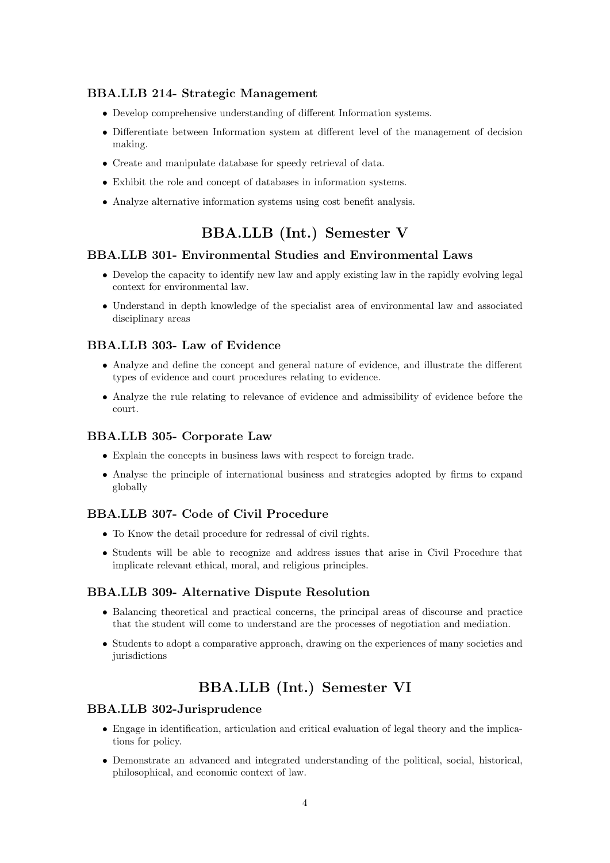### BBA.LLB 214- Strategic Management

- Develop comprehensive understanding of different Information systems.
- Differentiate between Information system at different level of the management of decision making.
- Create and manipulate database for speedy retrieval of data.
- Exhibit the role and concept of databases in information systems.
- Analyze alternative information systems using cost benefit analysis.

# BBA.LLB (Int.) Semester V

### BBA.LLB 301- Environmental Studies and Environmental Laws

- Develop the capacity to identify new law and apply existing law in the rapidly evolving legal context for environmental law.
- Understand in depth knowledge of the specialist area of environmental law and associated disciplinary areas

### BBA.LLB 303- Law of Evidence

- Analyze and define the concept and general nature of evidence, and illustrate the different types of evidence and court procedures relating to evidence.
- Analyze the rule relating to relevance of evidence and admissibility of evidence before the court.

### BBA.LLB 305- Corporate Law

- Explain the concepts in business laws with respect to foreign trade.
- Analyse the principle of international business and strategies adopted by firms to expand globally

# BBA.LLB 307- Code of Civil Procedure

- To Know the detail procedure for redressal of civil rights.
- Students will be able to recognize and address issues that arise in Civil Procedure that implicate relevant ethical, moral, and religious principles.

#### BBA.LLB 309- Alternative Dispute Resolution

- Balancing theoretical and practical concerns, the principal areas of discourse and practice that the student will come to understand are the processes of negotiation and mediation.
- Students to adopt a comparative approach, drawing on the experiences of many societies and jurisdictions

# BBA.LLB (Int.) Semester VI

#### BBA.LLB 302-Jurisprudence

- Engage in identification, articulation and critical evaluation of legal theory and the implications for policy.
- Demonstrate an advanced and integrated understanding of the political, social, historical, philosophical, and economic context of law.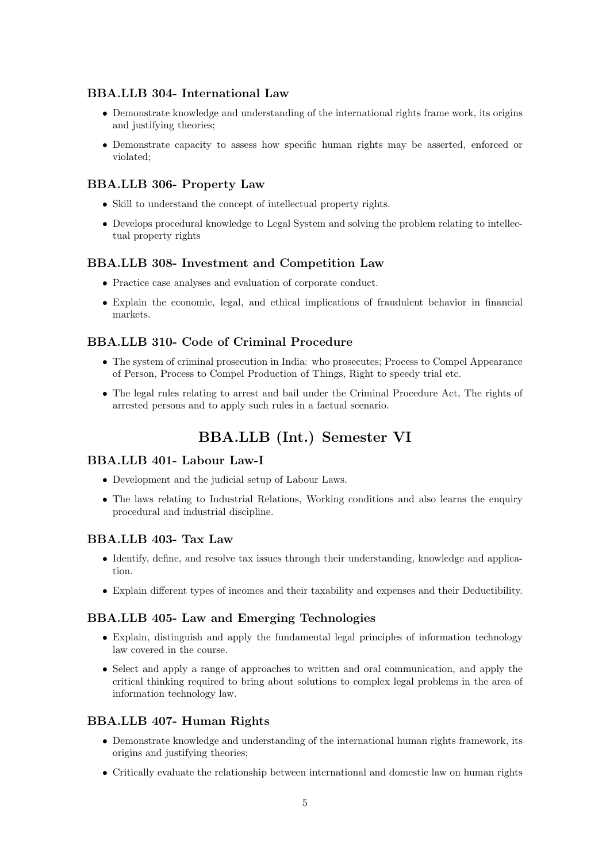# BBA.LLB 304- International Law

- Demonstrate knowledge and understanding of the international rights frame work, its origins and justifying theories;
- Demonstrate capacity to assess how specific human rights may be asserted, enforced or violated;

### BBA.LLB 306- Property Law

- Skill to understand the concept of intellectual property rights.
- Develops procedural knowledge to Legal System and solving the problem relating to intellectual property rights

### BBA.LLB 308- Investment and Competition Law

- Practice case analyses and evaluation of corporate conduct.
- Explain the economic, legal, and ethical implications of fraudulent behavior in financial markets.

### BBA.LLB 310- Code of Criminal Procedure

- The system of criminal prosecution in India: who prosecutes; Process to Compel Appearance of Person, Process to Compel Production of Things, Right to speedy trial etc.
- The legal rules relating to arrest and bail under the Criminal Procedure Act, The rights of arrested persons and to apply such rules in a factual scenario.

# BBA.LLB (Int.) Semester VI

### BBA.LLB 401- Labour Law-I

- Development and the judicial setup of Labour Laws.
- The laws relating to Industrial Relations, Working conditions and also learns the enquiry procedural and industrial discipline.

### BBA.LLB 403- Tax Law

- Identify, define, and resolve tax issues through their understanding, knowledge and application.
- Explain different types of incomes and their taxability and expenses and their Deductibility.

#### BBA.LLB 405- Law and Emerging Technologies

- Explain, distinguish and apply the fundamental legal principles of information technology law covered in the course.
- Select and apply a range of approaches to written and oral communication, and apply the critical thinking required to bring about solutions to complex legal problems in the area of information technology law.

### BBA.LLB 407- Human Rights

- Demonstrate knowledge and understanding of the international human rights framework, its origins and justifying theories;
- Critically evaluate the relationship between international and domestic law on human rights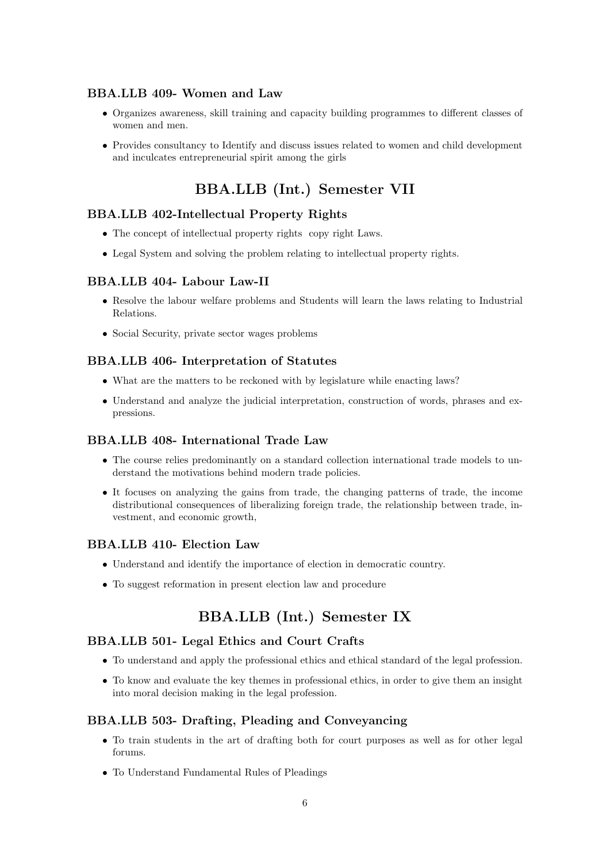### BBA.LLB 409- Women and Law

- Organizes awareness, skill training and capacity building programmes to different classes of women and men.
- Provides consultancy to Identify and discuss issues related to women and child development and inculcates entrepreneurial spirit among the girls

# BBA.LLB (Int.) Semester VII

### BBA.LLB 402-Intellectual Property Rights

- The concept of intellectual property rights copy right Laws.
- Legal System and solving the problem relating to intellectual property rights.

### BBA.LLB 404- Labour Law-II

- Resolve the labour welfare problems and Students will learn the laws relating to Industrial Relations.
- Social Security, private sector wages problems

#### BBA.LLB 406- Interpretation of Statutes

- What are the matters to be reckoned with by legislature while enacting laws?
- Understand and analyze the judicial interpretation, construction of words, phrases and expressions.

### BBA.LLB 408- International Trade Law

- The course relies predominantly on a standard collection international trade models to understand the motivations behind modern trade policies.
- It focuses on analyzing the gains from trade, the changing patterns of trade, the income distributional consequences of liberalizing foreign trade, the relationship between trade, investment, and economic growth,

### BBA.LLB 410- Election Law

- Understand and identify the importance of election in democratic country.
- To suggest reformation in present election law and procedure

# BBA.LLB (Int.) Semester IX

#### BBA.LLB 501- Legal Ethics and Court Crafts

- To understand and apply the professional ethics and ethical standard of the legal profession.
- To know and evaluate the key themes in professional ethics, in order to give them an insight into moral decision making in the legal profession.

#### BBA.LLB 503- Drafting, Pleading and Conveyancing

- To train students in the art of drafting both for court purposes as well as for other legal forums.
- To Understand Fundamental Rules of Pleadings